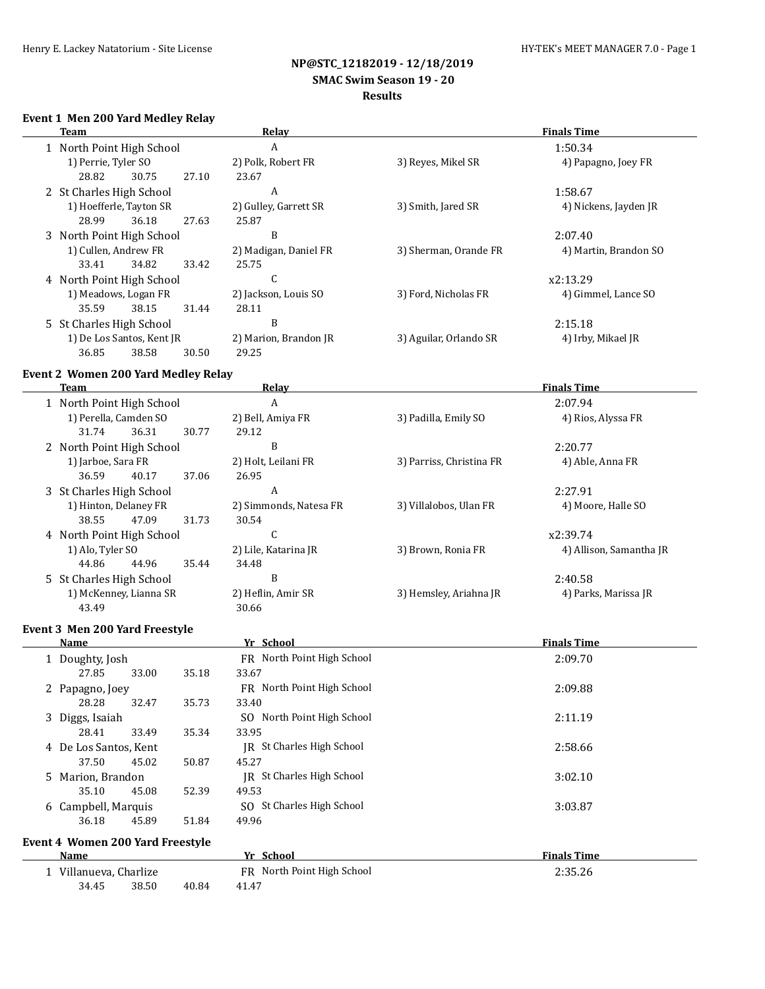# **NP@STC\_12182019 - 12/18/2019 SMAC Swim Season 19 - 20**

# **Results**

### **Event 1 Men 200 Yard Medley Relay**

| Team                                       | Relay                 | <b>Finals Time</b>     |                       |  |
|--------------------------------------------|-----------------------|------------------------|-----------------------|--|
| 1 North Point High School                  | A                     |                        | 1:50.34               |  |
| 1) Perrie, Tyler SO                        | 2) Polk, Robert FR    | 3) Reyes, Mikel SR     | 4) Papagno, Joey FR   |  |
| 28.82<br>30.75                             | 27.10<br>23.67        |                        |                       |  |
| 2 St Charles High School                   | A                     |                        | 1:58.67               |  |
| 1) Hoefferle, Tayton SR                    | 2) Gulley, Garrett SR | 3) Smith, Jared SR     | 4) Nickens, Jayden JR |  |
| 28.99<br>36.18                             | 27.63<br>25.87        |                        |                       |  |
| 3 North Point High School                  | B                     |                        | 2:07.40               |  |
| 1) Cullen, Andrew FR                       | 2) Madigan, Daniel FR | 3) Sherman, Orande FR  | 4) Martin, Brandon SO |  |
| 34.82<br>33.41                             | 33.42<br>25.75        |                        |                       |  |
| 4 North Point High School                  | C                     |                        | x2:13.29              |  |
| 1) Meadows, Logan FR                       | 2) Jackson, Louis SO  | 3) Ford, Nicholas FR   | 4) Gimmel, Lance SO   |  |
| 35.59<br>38.15                             | 31.44<br>28.11        |                        |                       |  |
| 5 St Charles High School                   | B                     |                        | 2:15.18               |  |
| 1) De Los Santos, Kent JR                  | 2) Marion, Brandon JR | 3) Aguilar, Orlando SR | 4) Irby, Mikael JR    |  |
| 36.85<br>38.58                             | 29.25<br>30.50        |                        |                       |  |
| <b>Event 2 Women 200 Yard Medley Relay</b> |                       |                        |                       |  |

### **Team Relay Relay Relay Finals Time** 1 North Point High School A 2:07.94 1) Perella, Camden SO 2) Bell, Amiya FR 3) Padilla, Emily SO 4) Rios, Alyssa FR 31.74 36.31 30.77 29.12 2 North Point High School B 2:20.77 1) Jarboe, Sara FR 2) Holt, Leilani FR 3) Parriss, Christina FR 4) Able, Anna FR 36.59 40.17 37.06 26.95 3 St Charles High School A 2:27.91 1) Hinton, Delaney FR 2) Simmonds, Natesa FR 3) Villalobos, Ulan FR 4) Moore, Halle SO 38.55 47.09 31.73 30.54 4 North Point High School C and C x2:39.74 1) Alo, Tyler SO 2) Lile, Katarina JR 3) Brown, Ronia FR 4) Allison, Samantha JR 44.86 44.96 35.44 34.48 5 St Charles High School B 2:40.58 1) McKenney, Lianna SR 2) Heflin, Amir SR 3) Hemsley, Ariahna JR 4) Parks, Marissa JR 43.49 30.66

### **Event 3 Men 200 Yard Freestyle**

| Name                                    |       |       | Yr School                    | <b>Finals Time</b> |
|-----------------------------------------|-------|-------|------------------------------|--------------------|
| 1 Doughty, Josh                         |       |       | FR North Point High School   | 2:09.70            |
| 27.85                                   | 33.00 | 35.18 | 33.67                        |                    |
| 2 Papagno, Joey                         |       |       | FR North Point High School   | 2:09.88            |
| 28.28                                   | 32.47 | 35.73 | 33.40                        |                    |
| 3 Diggs, Isaiah                         |       |       | SO North Point High School   | 2:11.19            |
| 28.41                                   | 33.49 | 35.34 | 33.95                        |                    |
| 4 De Los Santos, Kent                   |       |       | St Charles High School<br>IR | 2:58.66            |
| 37.50                                   | 45.02 | 50.87 | 45.27                        |                    |
| 5 Marion, Brandon                       |       |       | St Charles High School<br>IR | 3:02.10            |
| 35.10                                   | 45.08 | 52.39 | 49.53                        |                    |
| 6 Campbell, Marquis                     |       |       | SO St Charles High School    | 3:03.87            |
| 36.18                                   | 45.89 | 51.84 | 49.96                        |                    |
| <b>Event 4 Women 200 Yard Freestyle</b> |       |       |                              |                    |
| Name                                    |       |       | Yr School                    | <b>Finals Time</b> |

1 Villanueva, Charlize FR North Point High School 2:35.26 34.45 38.50 40.84 41.47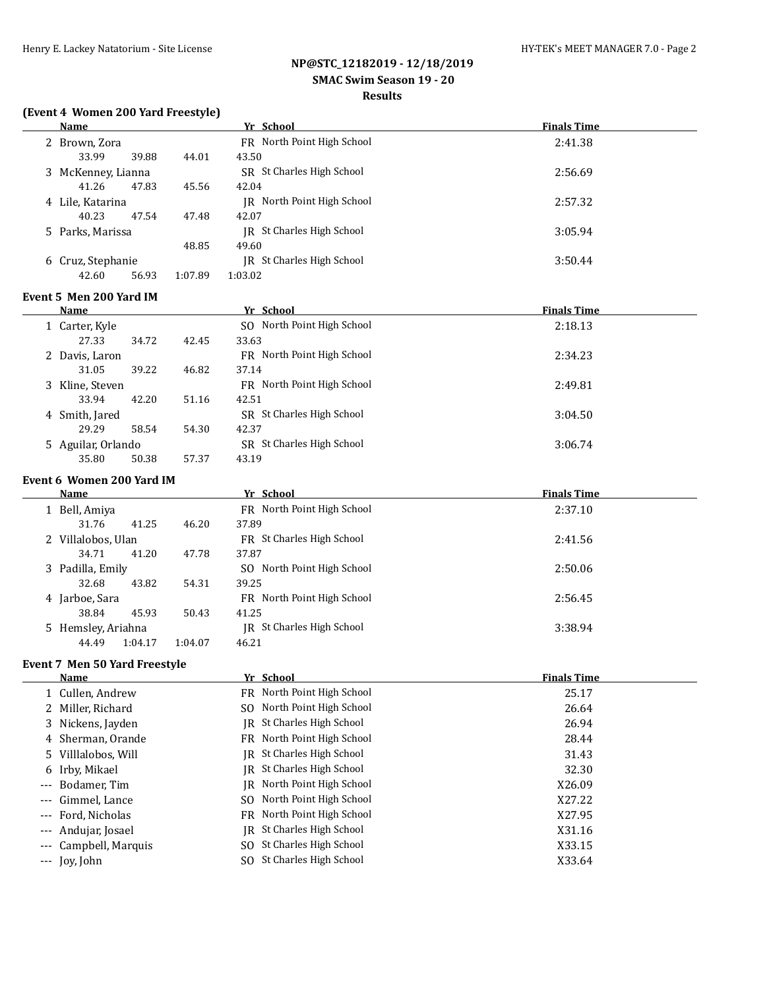# **NP@STC\_12182019 - 12/18/2019**

# **SMAC Swim Season 19 - 20**

# **Results**

## **(Event 4 Women 200 Yard Freestyle)**

|       | <b>Name</b>                            |         | Yr School                            | <b>Finals Time</b> |
|-------|----------------------------------------|---------|--------------------------------------|--------------------|
|       | 2 Brown, Zora<br>33.99<br>39.88        | 44.01   | FR North Point High School<br>43.50  | 2:41.38            |
|       | 3 McKenney, Lianna<br>41.26<br>47.83   | 45.56   | SR St Charles High School<br>42.04   | 2:56.69            |
|       | 4 Lile, Katarina<br>40.23<br>47.54     | 47.48   | JR North Point High School<br>42.07  | 2:57.32            |
|       | 5 Parks, Marissa                       | 48.85   | JR St Charles High School<br>49.60   | 3:05.94            |
|       | 6 Cruz, Stephanie<br>42.60<br>56.93    | 1:07.89 | JR St Charles High School<br>1:03.02 | 3:50.44            |
|       | Event 5 Men 200 Yard IM                |         |                                      |                    |
|       | <b>Name</b>                            |         | Yr School                            | <b>Finals Time</b> |
|       | 1 Carter, Kyle<br>27.33<br>34.72       | 42.45   | SO North Point High School<br>33.63  | 2:18.13            |
|       | 2 Davis, Laron<br>31.05<br>39.22       | 46.82   | FR North Point High School<br>37.14  | 2:34.23            |
|       | 3 Kline, Steven<br>33.94<br>42.20      | 51.16   | FR North Point High School<br>42.51  | 2:49.81            |
|       | 4 Smith, Jared<br>29.29<br>58.54       | 54.30   | SR St Charles High School<br>42.37   | 3:04.50            |
|       | 5 Aguilar, Orlando<br>35.80<br>50.38   | 57.37   | SR St Charles High School<br>43.19   | 3:06.74            |
|       | Event 6 Women 200 Yard IM              |         |                                      |                    |
|       | <b>Name</b>                            |         | Yr School                            | <b>Finals Time</b> |
|       | 1 Bell, Amiya<br>31.76<br>41.25        | 46.20   | FR North Point High School<br>37.89  | 2:37.10            |
|       | 2 Villalobos, Ulan<br>34.71<br>41.20   | 47.78   | FR St Charles High School<br>37.87   | 2:41.56            |
|       | 3 Padilla, Emily<br>32.68<br>43.82     | 54.31   | SO North Point High School<br>39.25  | 2:50.06            |
|       | 4 Jarboe, Sara<br>38.84<br>45.93       | 50.43   | FR North Point High School<br>41.25  | 2:56.45            |
|       | 5 Hemsley, Ariahna<br>1:04.17<br>44.49 | 1:04.07 | JR St Charles High School<br>46.21   | 3:38.94            |
|       |                                        |         |                                      |                    |
|       | Event 7 Men 50 Yard Freestyle          |         |                                      |                    |
|       | <u>Name</u>                            |         | Yr School                            | <b>Finals Time</b> |
|       | 1 Cullen, Andrew                       |         | FR North Point High School           | 25.17              |
| 2     | Miller, Richard                        |         | North Point High School<br>SO.       | 26.64              |
| 3     | Nickens, Jayden                        |         | St Charles High School<br>IR         | 26.94              |
| 4     | Sherman, Orande                        |         | FR North Point High School           | 28.44              |
| 5     | Villlalobos, Will                      |         | St Charles High School<br>IR         | 31.43              |
| 6     | Irby, Mikael                           |         | St Charles High School<br>IR         | 32.30              |
| $---$ | Bodamer, Tim                           |         | JR North Point High School           | X26.09             |
| ---   | Gimmel, Lance                          |         | SO North Point High School           | X27.22             |
| ---   | Ford, Nicholas                         |         | North Point High School<br>FR        | X27.95             |
|       | Andujar, Josael                        |         | St Charles High School<br>IR         | X31.16             |
|       | Campbell, Marquis                      |         | St Charles High School<br>SO.        | X33.15             |
| ---   | Joy, John                              |         | SO St Charles High School            | X33.64             |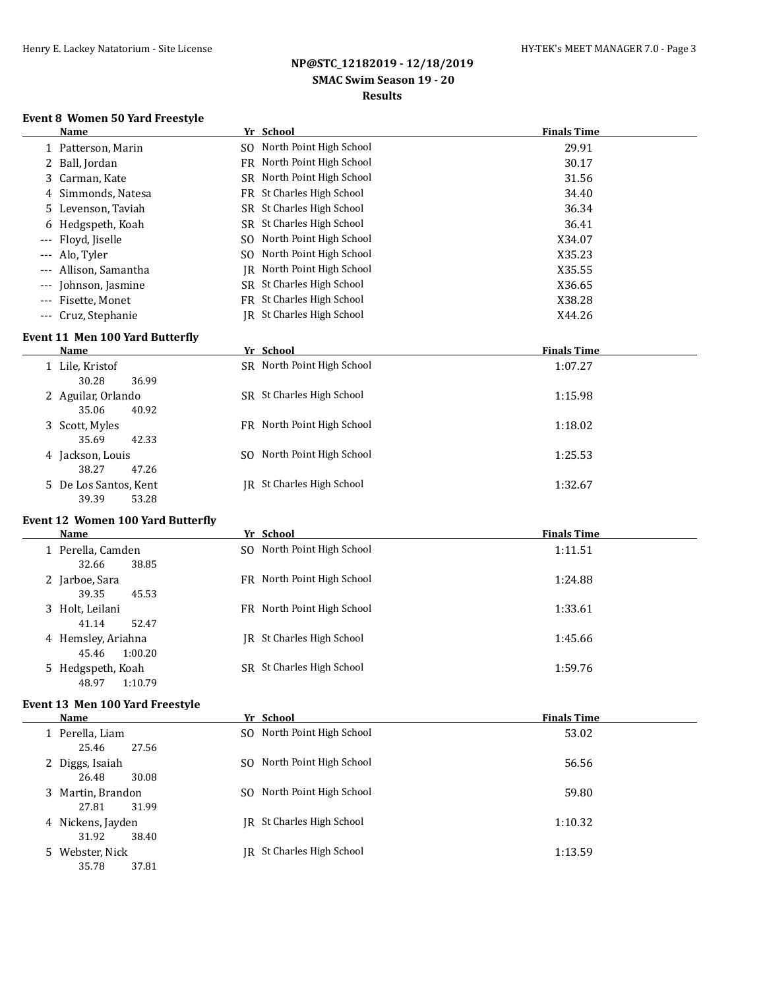## **NP@STC\_12182019 - 12/18/2019 SMAC Swim Season 19 - 20 Results**

### **Event 8 Women 50 Yard Freestyle**

| Name                  | Yr School                        | <b>Finals Time</b> |
|-----------------------|----------------------------------|--------------------|
| 1 Patterson, Marin    | SO North Point High School       | 29.91              |
| 2 Ball, Jordan        | FR North Point High School       | 30.17              |
| 3 Carman, Kate        | SR North Point High School       | 31.56              |
| 4 Simmonds, Natesa    | FR St Charles High School        | 34.40              |
| 5 Levenson, Taviah    | SR St Charles High School        | 36.34              |
| 6 Hedgspeth, Koah     | SR St Charles High School        | 36.41              |
| --- Floyd, Jiselle    | SO North Point High School       | X34.07             |
| --- Alo, Tyler        | SO North Point High School       | X35.23             |
| --- Allison. Samantha | North Point High School<br>IR    | X35.55             |
| --- Johnson, Jasmine  | SR St Charles High School        | X36.65             |
| --- Fisette, Monet    | <b>FR</b> St Charles High School | X38.28             |
| --- Cruz, Stephanie   | IR St Charles High School        | X44.26             |
|                       |                                  |                    |

## **Event 11 Men 100 Yard Butterfly**

| Name                                    | Yr School                      | <b>Finals Time</b> |
|-----------------------------------------|--------------------------------|--------------------|
| 1 Lile, Kristof<br>30.28<br>36.99       | SR North Point High School     | 1:07.27            |
| 2 Aguilar, Orlando<br>40.92<br>35.06    | SR St Charles High School      | 1:15.98            |
| 3 Scott, Myles<br>42.33<br>35.69        | FR North Point High School     | 1:18.02            |
| 4 Jackson, Louis<br>47.26<br>38.27      | North Point High School<br>SO. | 1:25.53            |
| 5 De Los Santos, Kent<br>39.39<br>53.28 | IR St Charles High School      | 1:32.67            |

# **Event 12 Women 100 Yard Butterfly**

| Name                                   | Yr School                  | <b>Finals Time</b> |
|----------------------------------------|----------------------------|--------------------|
| 1 Perella, Camden<br>38.85<br>32.66    | SO North Point High School | 1:11.51            |
| 2 Jarboe, Sara<br>39.35<br>45.53       | FR North Point High School | 1:24.88            |
| 3 Holt, Leilani<br>52.47<br>41.14      | FR North Point High School | 1:33.61            |
| 4 Hemsley, Ariahna<br>1:00.20<br>45.46 | IR St Charles High School  | 1:45.66            |
| 5 Hedgspeth, Koah<br>1:10.79<br>48.97  | SR St Charles High School  | 1:59.76            |

### **Event 13 Men 100 Yard Freestyle**

| Name                                | Yr School                  | <b>Finals Time</b> |
|-------------------------------------|----------------------------|--------------------|
| 1 Perella, Liam<br>25.46<br>27.56   | SO North Point High School | 53.02              |
| 2 Diggs, Isaiah<br>26.48<br>30.08   | SO North Point High School | 56.56              |
| 3 Martin, Brandon<br>31.99<br>27.81 | SO North Point High School | 59.80              |
| 4 Nickens, Jayden<br>31.92<br>38.40 | IR St Charles High School  | 1:10.32            |
| 5 Webster, Nick<br>35.78<br>37.81   | IR St Charles High School  | 1:13.59            |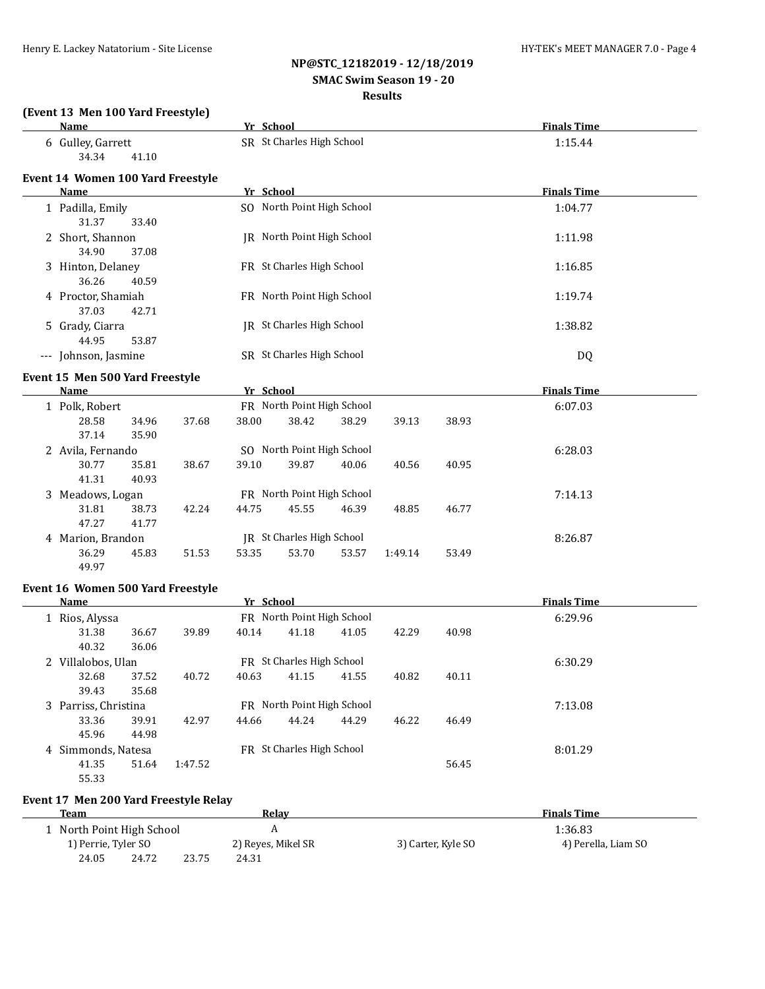**(Event 13 Men 100 Yard Freestyle)**

# **NP@STC\_12182019 - 12/18/2019 SMAC Swim Season 19 - 20**

### **Results**

|   | Name                              |                |         | Yr School |                            |       |         |       | <b>Finals Time</b> |  |
|---|-----------------------------------|----------------|---------|-----------|----------------------------|-------|---------|-------|--------------------|--|
|   | 6 Gulley, Garrett<br>34.34        | 41.10          |         |           | SR St Charles High School  |       |         |       | 1:15.44            |  |
|   | Event 14 Women 100 Yard Freestyle |                |         |           |                            |       |         |       |                    |  |
|   | <b>Name</b>                       |                |         | Yr School |                            |       |         |       | <b>Finals Time</b> |  |
|   | 1 Padilla, Emily<br>31.37         | 33.40          |         |           | SO North Point High School |       |         |       | 1:04.77            |  |
|   | 2 Short, Shannon<br>34.90         | 37.08          |         |           | JR North Point High School |       |         |       | 1:11.98            |  |
|   | 3 Hinton, Delaney<br>36.26        | 40.59          |         |           | FR St Charles High School  |       |         |       | 1:16.85            |  |
|   | 4 Proctor, Shamiah<br>37.03       | 42.71          |         |           | FR North Point High School |       |         |       | 1:19.74            |  |
|   | 5 Grady, Ciarra<br>44.95          | 53.87          |         |           | JR St Charles High School  |       |         |       | 1:38.82            |  |
|   | --- Johnson, Jasmine              |                |         |           | SR St Charles High School  |       |         |       | <b>DQ</b>          |  |
|   | Event 15 Men 500 Yard Freestyle   |                |         |           |                            |       |         |       |                    |  |
|   | Name                              |                |         | Yr School |                            |       |         |       | <b>Finals Time</b> |  |
|   | 1 Polk, Robert                    |                |         |           | FR North Point High School |       |         |       | 6:07.03            |  |
|   | 28.58<br>37.14                    | 34.96<br>35.90 | 37.68   | 38.00     | 38.42                      | 38.29 | 39.13   | 38.93 |                    |  |
|   | 2 Avila, Fernando                 |                |         |           | SO North Point High School |       |         |       | 6:28.03            |  |
|   | 30.77<br>41.31                    | 35.81<br>40.93 | 38.67   | 39.10     | 39.87                      | 40.06 | 40.56   | 40.95 |                    |  |
|   | 3 Meadows, Logan                  |                |         |           | FR North Point High School |       |         |       | 7:14.13            |  |
|   | 31.81<br>47.27                    | 38.73<br>41.77 | 42.24   | 44.75     | 45.55                      | 46.39 | 48.85   | 46.77 |                    |  |
|   | 4 Marion, Brandon                 |                |         |           | JR St Charles High School  |       |         |       | 8:26.87            |  |
|   | 36.29<br>49.97                    | 45.83          | 51.53   | 53.35     | 53.70                      | 53.57 | 1:49.14 | 53.49 |                    |  |
|   | Event 16 Women 500 Yard Freestyle |                |         |           |                            |       |         |       |                    |  |
|   | <b>Name</b>                       |                |         | Yr School |                            |       |         |       | <b>Finals Time</b> |  |
|   | 1 Rios, Alyssa                    |                |         |           | FR North Point High School |       |         |       | 6:29.96            |  |
|   | 31.38<br>40.32                    | 36.67<br>36.06 | 39.89   | 40.14     | 41.18                      | 41.05 | 42.29   | 40.98 |                    |  |
|   | 2 Villalobos, Ulan                |                |         |           | FR St Charles High School  |       |         |       | 6:30.29            |  |
|   | 32.68<br>39.43                    | 37.52<br>35.68 | 40.72   | 40.63     | 41.15                      | 41.55 | 40.82   | 40.11 |                    |  |
|   | 3 Parriss, Christina              |                |         |           | FR North Point High School |       |         |       | 7:13.08            |  |
|   | 33.36<br>45.96                    | 39.91<br>44.98 | 42.97   | 44.66     | 44.24                      | 44.29 | 46.22   | 46.49 |                    |  |
| 4 | Simmonds, Natesa                  |                |         |           | FR St Charles High School  |       |         |       | 8:01.29            |  |
|   | 41.35<br>55.33                    | 51.64          | 1:47.52 |           |                            |       |         | 56.45 |                    |  |

## **Event 17 Men 200 Yard Freestyle Relay**

| Team                      |       |       | Relav              |                    | <b>Finals Time</b>  |  |
|---------------------------|-------|-------|--------------------|--------------------|---------------------|--|
| 1 North Point High School |       |       |                    |                    | 1:36.83             |  |
| 1) Perrie, Tyler SO       |       |       | 2) Reyes, Mikel SR | 3) Carter, Kyle SO | 4) Perella, Liam SO |  |
| 24.05                     | 24.72 | 23.75 | 24.31              |                    |                     |  |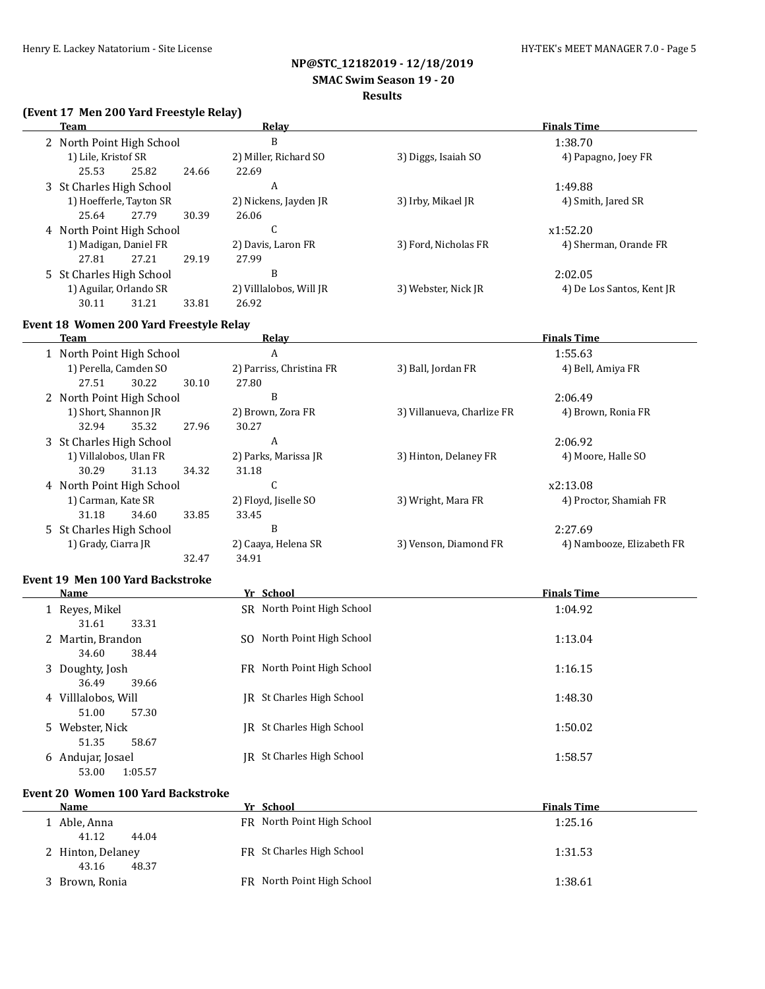# **NP@STC\_12182019 - 12/18/2019**

### **SMAC Swim Season 19 - 20**

### **Results**

## **(Event 17 Men 200 Yard Freestyle Relay)**

| Team                      |       | Relav                   | <b>Finals Time</b>   |                           |  |
|---------------------------|-------|-------------------------|----------------------|---------------------------|--|
| 2 North Point High School |       | B                       |                      | 1:38.70                   |  |
| 1) Lile, Kristof SR       |       | 2) Miller, Richard SO   | 3) Diggs, Isaiah SO  | 4) Papagno, Joey FR       |  |
| 25.82<br>25.53            | 24.66 | 22.69                   |                      |                           |  |
| 3 St Charles High School  |       | A                       |                      | 1:49.88                   |  |
| 1) Hoefferle, Tayton SR   |       | 2) Nickens, Jayden JR   | 3) Irby, Mikael JR   | 4) Smith, Jared SR        |  |
| 27.79<br>25.64            | 30.39 | 26.06                   |                      |                           |  |
| 4 North Point High School |       | U                       |                      | x1:52.20                  |  |
| 1) Madigan, Daniel FR     |       | 2) Davis, Laron FR      | 3) Ford, Nicholas FR | 4) Sherman, Orande FR     |  |
| 27.81<br>27.21            | 29.19 | 27.99                   |                      |                           |  |
| 5 St Charles High School  |       | B                       |                      | 2:02.05                   |  |
| 1) Aguilar, Orlando SR    |       | 2) Villlalobos, Will JR | 3) Webster, Nick JR  | 4) De Los Santos, Kent JR |  |
| 30.11<br>31.21            | 33.81 | 26.92                   |                      |                           |  |

# **Event 18 Women 200 Yard Freestyle Relay**

| Team                      | Relay                    | <b>Finals Time</b>         |                           |  |
|---------------------------|--------------------------|----------------------------|---------------------------|--|
| 1 North Point High School | A                        |                            | 1:55.63                   |  |
| 1) Perella, Camden SO     | 2) Parriss, Christina FR | 3) Ball, Jordan FR         | 4) Bell, Amiya FR         |  |
| 27.51<br>30.22            | 30.10<br>27.80           |                            |                           |  |
| 2 North Point High School | B                        |                            | 2:06.49                   |  |
| 1) Short, Shannon JR      | 2) Brown, Zora FR        | 3) Villanueva, Charlize FR | 4) Brown, Ronia FR        |  |
| 32.94<br>35.32            | 27.96<br>30.27           |                            |                           |  |
| 3 St Charles High School  | A                        |                            | 2:06.92                   |  |
| 1) Villalobos, Ulan FR    | 2) Parks, Marissa JR     | 3) Hinton, Delaney FR      | 4) Moore, Halle SO        |  |
| 30.29<br>31.13            | 34.32<br>31.18           |                            |                           |  |
| 4 North Point High School | U                        |                            | x2:13.08                  |  |
| 1) Carman, Kate SR        | 2) Floyd, Jiselle SO     | 3) Wright, Mara FR         | 4) Proctor, Shamiah FR    |  |
| 34.60<br>31.18            | 33.85<br>33.45           |                            |                           |  |
| 5 St Charles High School  | B                        |                            | 2:27.69                   |  |
| 1) Grady, Ciarra JR       | 2) Caaya, Helena SR      | 3) Venson, Diamond FR      | 4) Nambooze, Elizabeth FR |  |
|                           | 32.47<br>34.91           |                            |                           |  |

### **Event 19 Men 100 Yard Backstroke**

| Name                                  | Yr School                  | <b>Finals Time</b> |
|---------------------------------------|----------------------------|--------------------|
| 1 Reyes, Mikel<br>33.31               | SR North Point High School | 1:04.92            |
| 31.61                                 |                            |                    |
| 2 Martin, Brandon<br>38.44<br>34.60   | SO North Point High School | 1:13.04            |
| 3 Doughty, Josh                       | FR North Point High School | 1:16.15            |
| 39.66<br>36.49                        |                            |                    |
| 4 Villlalobos, Will<br>57.30<br>51.00 | IR St Charles High School  | 1:48.30            |
| 5 Webster, Nick                       | IR St Charles High School  | 1:50.02            |
| 58.67<br>51.35                        |                            |                    |
| 6 Andujar, Josael<br>53.00<br>1:05.57 | IR St Charles High School  | 1:58.57            |

### **Event 20 Women 100 Yard Backstroke**

| <b>Name</b>       | Yr School                  | <b>Finals Time</b> |
|-------------------|----------------------------|--------------------|
| Able, Anna        | FR North Point High School | 1:25.16            |
| 41.12<br>44.04    |                            |                    |
| 2 Hinton, Delaney | FR St Charles High School  | 1:31.53            |
| 48.37<br>43.16    |                            |                    |
| 3 Brown, Ronia    | FR North Point High School | 1:38.61            |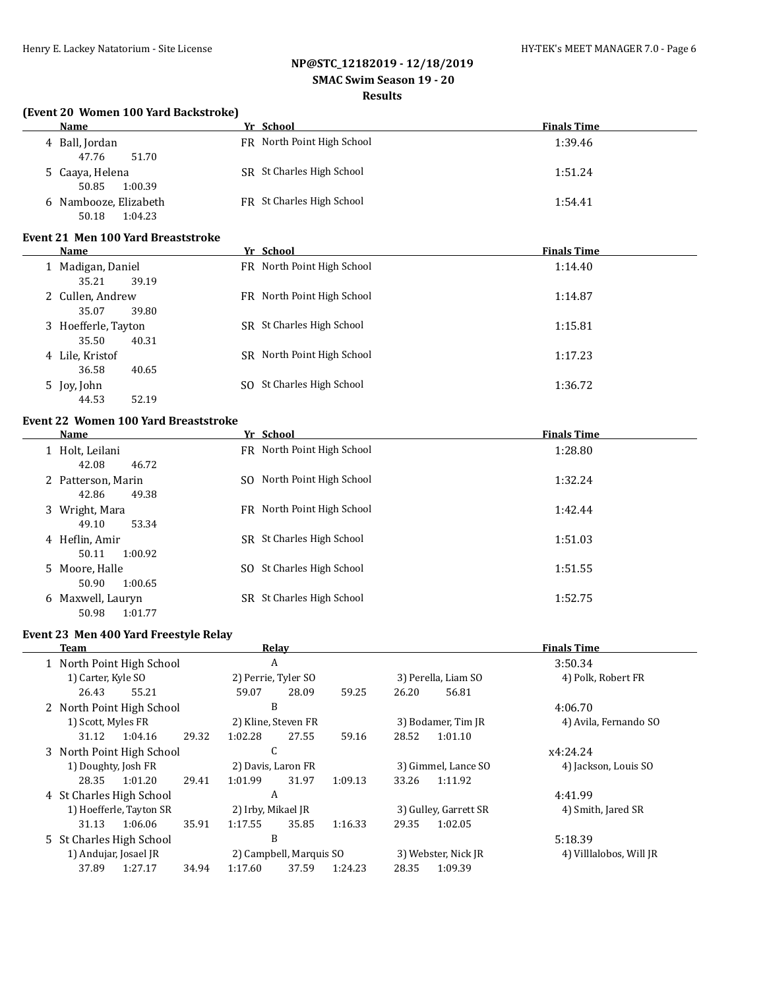# **NP@STC\_12182019 - 12/18/2019**

# **SMAC Swim Season 19 - 20**

# **Results**

## **(Event 20 Women 100 Yard Backstroke)**

| <b>Name</b>                               | Yr School                  | <b>Finals Time</b> |
|-------------------------------------------|----------------------------|--------------------|
| 4 Ball, Jordan<br>51.70<br>47.76          | FR North Point High School | 1:39.46            |
| 5 Caaya, Helena<br>50.85<br>1:00.39       | SR St Charles High School  | 1:51.24            |
| 6 Nambooze, Elizabeth<br>1:04.23<br>50.18 | FR St Charles High School  | 1:54.41            |

### **Event 21 Men 100 Yard Breaststroke**

| Name                                  |     | Yr School                  | <b>Finals Time</b> |
|---------------------------------------|-----|----------------------------|--------------------|
| 1 Madigan, Daniel<br>39.19<br>35.21   |     | FR North Point High School | 1:14.40            |
| 2 Cullen, Andrew<br>39.80<br>35.07    |     | FR North Point High School | 1:14.87            |
| 3 Hoefferle, Tayton<br>40.31<br>35.50 |     | SR St Charles High School  | 1:15.81            |
| 4 Lile, Kristof<br>36.58<br>40.65     |     | SR North Point High School | 1:17.23            |
| 5 Joy, John<br>52.19<br>44.53         | SO. | St Charles High School     | 1:36.72            |

### **Event 22 Women 100 Yard Breaststroke**

| Name                                  | Yr School                     | <b>Finals Time</b> |
|---------------------------------------|-------------------------------|--------------------|
| 1 Holt, Leilani<br>42.08<br>46.72     | FR North Point High School    | 1:28.80            |
| 2 Patterson, Marin<br>49.38<br>42.86  | SO North Point High School    | 1:32.24            |
| 3 Wright, Mara<br>53.34<br>49.10      | FR North Point High School    | 1:42.44            |
| 4 Heflin, Amir<br>1:00.92<br>50.11    | SR St Charles High School     | 1:51.03            |
| 5 Moore, Halle<br>50.90<br>1:00.65    | St Charles High School<br>SO. | 1:51.55            |
| 6 Maxwell, Lauryn<br>50.98<br>1:01.77 | SR St Charles High School     | 1:52.75            |

## **Event 23 Men 400 Yard Freestyle Relay**

| Team                                          |                                                  |                       |                     | Relay               |                         |                     |          | <b>Finals Time</b>    |
|-----------------------------------------------|--------------------------------------------------|-----------------------|---------------------|---------------------|-------------------------|---------------------|----------|-----------------------|
| 1 North Point High School                     |                                                  |                       | A                   |                     |                         | 3:50.34             |          |                       |
| 1) Carter, Kyle SO                            |                                                  |                       |                     | 2) Perrie, Tyler SO |                         | 3) Perella, Liam SO |          | 4) Polk, Robert FR    |
| 26.43                                         | 55.21                                            |                       | 59.07               | 28.09               | 59.25                   | 26.20               | 56.81    |                       |
| 2 North Point High School                     |                                                  |                       | B                   |                     |                         |                     |          | 4:06.70               |
| 1) Scott, Myles FR                            |                                                  |                       | 2) Kline, Steven FR |                     |                         | 3) Bodamer, Tim JR  |          | 4) Avila, Fernando SO |
| 31.12                                         | 1:04.16                                          | 29.32                 | 1:02.28             | 27.55               | 59.16                   | 28.52               | 1:01.10  |                       |
| 3 North Point High School                     |                                                  | U                     |                     |                     |                         |                     | x4:24.24 |                       |
|                                               | 1) Doughty, Josh FR<br>2) Davis, Laron FR        |                       |                     | 3) Gimmel, Lance SO | 4) Jackson, Louis SO    |                     |          |                       |
| 28.35                                         | 1:01.20                                          | 29.41                 | 1:01.99             | 31.97               | 1:09.13                 | 33.26               | 1:11.92  |                       |
| 4 St Charles High School                      |                                                  |                       | A                   |                     |                         |                     |          | 4:41.99               |
| 1) Hoefferle, Tayton SR<br>2) Irby, Mikael JR |                                                  | 3) Gulley, Garrett SR |                     | 4) Smith, Jared SR  |                         |                     |          |                       |
| 31.13                                         | 1:06.06                                          | 35.91                 | 1:17.55             | 35.85               | 1:16.33                 | 29.35               | 1:02.05  |                       |
| 5 St Charles High School                      |                                                  |                       | B                   |                     |                         |                     |          | 5:18.39               |
|                                               | 1) Andujar, Josael JR<br>2) Campbell, Marquis SO |                       |                     | 3) Webster, Nick JR | 4) Villlalobos, Will JR |                     |          |                       |
| 37.89                                         | 1:27.17                                          | 34.94                 | 1:17.60             | 37.59               | 1:24.23                 | 28.35               | 1:09.39  |                       |